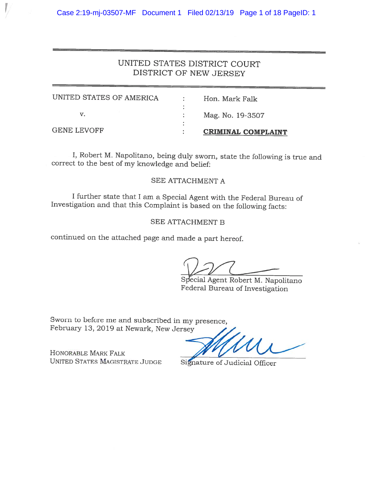# UNITED STATES DISTRICT COURT DISTRICT OF NEW JERSEY

| <b>GENE LEVOFF</b>       | <b>CRIMINAL COMPLAINT</b> |
|--------------------------|---------------------------|
|                          |                           |
|                          | Mag. No. 19-3507          |
| UNITED STATES OF AMERICA | Hon, Mark Falk            |

I, Robert M. Napolitano, being duly sworn, state the following is true and correct to the best of my knowledge and belief:

# SEE ATTACHMENT A

<sup>I</sup> further state that <sup>I</sup> am <sup>a</sup> Special Agent with the Federal Bureau of Investigation and that this Complaint is based on the following facts:

# SEE ATTACHMENT B

continued on the attached page and made <sup>a</sup> part hereof.

Special Agent Robert M. Napolitano Federal Bureau of Investigation

Sworn to before me and subscribed in my presence, February 13, <sup>2019</sup> at Newark, New Jersey

HONORABLE MARK FALK UNITED STATES MAGISTRATE JUDGE Signature of Judicial Officer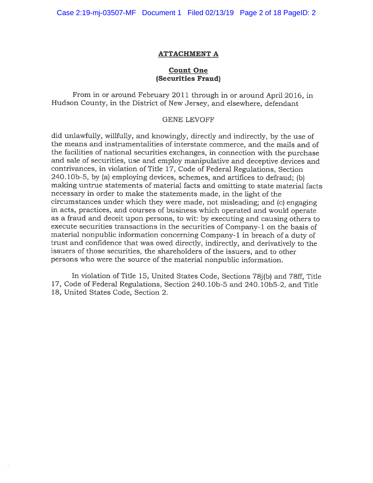Case 2:19-mj-03507-MF Document 1 Filed 02/13/19 Page 2 of 18 PageID: 2

#### ATTACHMENT A

## Count One (Securities Fraud)

From in or around February 2011 through in or around April 2016, in Hudson County, in the District of New Jersey, and elsewhere, defendant

#### GENE LEVOFF

did unlawfully, willfully, and knowingly, directly and indirectly, by the use of the means and instrumentalities of interstate commerce, and the mails and of the facilities of national securities exchanges, in connection with the purchase and sale of securities, use and employ manipulative and deceptive devices and contrivances, in violation of Title 17, Code of Federal Regulations, Section 240. iOb-5, by (a) employing devices, schemes, and artifices to defraud; (b) making untrue statements of material facts and omitting to state material facts necessary in order to make the statements made, in the light of the circumstances under which they were made, not misleading; and (c) engaging in acts, practices, and courses of business which operated and would operate as <sup>a</sup> fraud and deceit upon persons, to wit: by executing and causing others to execute securities transactions in the securities of Company-1 on the basis of material nonpublic information concerning Company-1 in breach of a duty of trust and confidence that was owed directly, indirectly, and derivatively to the issuers of those securities, the shareholders of the issuers, and to other persons who were the source of the material nonpublic information.

In violation of Title 15, United States Code, Sections 78j(b) and 78ff, Title 17, Code of Federal Regulations, Section 240.10b-5 and 240.10b5-2, and Title 18, United States Code, Section 2.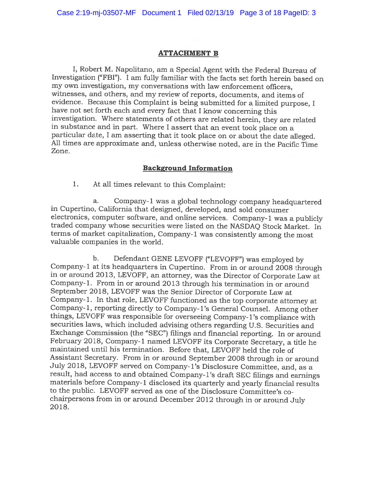#### ATTACHMENT B

., Robert M. Napolitano, am a Special Agent with the Federal Bureau of Investigation ("FBI"). <sup>I</sup> am fully familiar with the facts set forth herein based on my own investigation, my conversations with law enforcement officers, witnesses, and others, and my review of reports, documents, and items of evidence. Because this Complaint is being submitted for <sup>a</sup> limited purpose, <sup>I</sup> have not set forth each and every fact that <sup>I</sup> know concerning this investigation. Where statements of others are related herein, they are related n substance and in part. Where I assert that an event took place on a particular date, <sup>I</sup> am asserting that it took <sup>p</sup>lace on or about the date alleged. All times are approximate and, unless otherwise noted, are in the Pacific Time Zone.

# Background Information

1. At all times relevant to this Complaint:

a. Company-i was <sup>a</sup> <sup>g</sup>lobal technology company headquartered in Cupertino, California that designed, developed, and sold consumer electronics, computer software, and online services. Company-1 was a publicly traded company whose securities were listed on the NASDAQ Stock Market. In terms of market capitalization, Company-i was consistently among the most valuable companies in the world.

b. Defendant GENE LEVOFF ("LEVOFF") was employed by Company-i at its headquarters in Cupertino. From in or around <sup>2008</sup> through in or around 2013, LEVOFF, an attorney, was the Director of Corporate Law at Company-i. From in or around <sup>2013</sup> through his termination in or around September 2018, LEVOFF was the Senior Director of Corporate Law at Company-i. In that role, LEVOFF functioned as the top corporate attorney at Company-i, reporting directly to Company-i's General Counsel. Among other things, LEVOFF was responsible for overseeing Company-i's compliance with securities laws, which included advising others regarding U.S. Securities and Exchange Commission (the "SEC") filings and financial reporting. In or around February 2018, Company-1 named LEVOFF its Corporate Secretary, a title he maintained until his termination. Before that, LEVOFF held the role of Assistant Secretary. from in or around September <sup>2008</sup> through in or around July 2018, LEVOFF served on Company-1's Disclosure Committee, and, as a result, had access to and obtained Company-i's draft SEC filings and earnings materials before Company-1 disclosed its quarterly and yearly financial results to the public. LEVOFF served as one of the Disclosure Committee's co chairpersons from in or around December <sup>2012</sup> through in or around July 2018.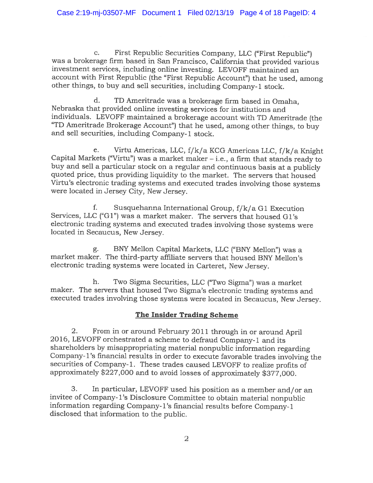c. first Republic Securities Company, LLC ("first Republic") was <sup>a</sup> brokerage firm based in San Francisco, California that provided various investment services, including online investing. LEVOFF maintained an account with First Republic (the "first Republic Account") that he used, among other things, to buy and sell securities, including Company-i stock.

d. TD Ameritrade was <sup>a</sup> brokerage firm based in Omaha, Nebraska that provided online investing services for institutions and individuals. LEVOFF maintained <sup>a</sup> brokerage account with TD Ameritrade (the "TD Ameritrade Brokerage Account") that he used, among other things, to buy and sell securities, including Company-i stock.

e. Virtu Americas, LLC, f/k/a KCG Americas LLC, f/k/a Knight Capital Markets ("Virtu") was <sup>a</sup> market maker — i.e., <sup>a</sup> firm that stands ready to buy and sell <sup>a</sup> particular stock on <sup>a</sup> regular and continuous basis at <sup>a</sup> publicly quoted price, thus providing liquidity to the market. The servers that housed Virtu's electronic trading systems and executed trades involving those systems were located in Jersey City, New Jersey.

f. Susquehanna International Group, f/k/a Gi Execution Services, LLC ("Gi") was <sup>a</sup> market maker. The servers that housed Gi's electronic trading systems and executed trades involving those systems were located in Secaucus, New Jersey.

g. BNY Mellon Capital Markets, LLC ("BNY Mellon") was <sup>a</sup> market maker. The third-party affiliate servers that housed BNY Mellon's electronic trading systems were located in Carteret, New Jersey.

h. Two Sigma Securities, LLC ("Two Sigma") was <sup>a</sup> market maker. The servers that housed Two Sigma's electronic trading systems and executed trades involving those systems were located in Secaucus, New Jersey.

# The Insider Trading Scheme

2. From in or around February <sup>2011</sup> through in or around April 2016, LEVOFF orchestrated <sup>a</sup> scheme to defraud Company-i and its shareholders by misappropriating material nonpublic information regarding Company-1's financial results in order to execute favorable trades involving the securities of Company-i. These trades caused LEVOFF to realize profits of approximately \$227,000 and to avoid losses of approximately \$377,000.

3. In particular, LEVOFF used his position as <sup>a</sup> member and/or an invitee of Company-1's Disclosure Committee to obtain material nonpublic information regarding Company- i's financial results before Company-i disclosed that information to the public.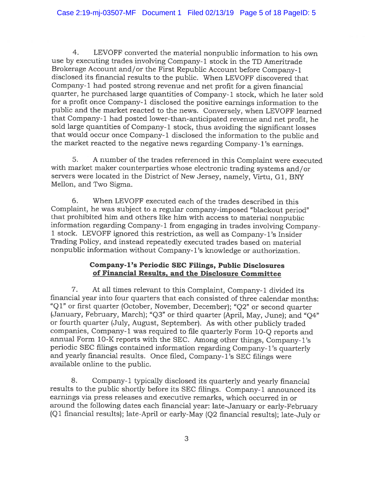4. LEVOFF converted the material nonpublic information to his own use by executing trades involving Company-i stock in the TD Ameritrade Brokerage Account and/or the first Republic Account before Company-i disclosed its financial results to the public. When LEVOFF discovered that Company-i had posted strong revenue and net profit for <sup>a</sup> <sup>g</sup>iven fmancial quarter, he purchased large quantities of Company-1 stock, which he later sold for a profit once Company-1 disclosed the positive earnings information to the public and the market reacted to the news. Conversely, when LEVOFF learned that Company- <sup>i</sup> had posted lower-than-anticipated revenue and net profit, he sold large quantities of Company-1 stock, thus avoiding the significant losses that would occur once Company-i disclosed the information to the public and the market reacted to the negative news regarding Company-1's earnings.

5. <sup>A</sup> number of the trades referenced in this Complaint were executed with market maker counterparties whose electronic trading systems and/or servers were located in the District of New Jersey, namely, Virtu, G1, BNY Mellon, and Two Sigma.

6. When LEVOFF executed each of the trades described in this Complaint, he was subject to <sup>a</sup> regular company-imposed "blackout period" that prohibited him and others like him with access to material nonpublic information regarding Company-1 from engaging in trades involving Company<sup>i</sup> stock. LEVOFF ignored this restriction, as well as Company- i's Insider Trading Policy, and instead repeatedly executed trades based on material nonpublic information without Company- i's knowledge or authorization.

# Company-i's Periodic SEC Filings, Public Disclosures of Financial Results, and the Disclosure Committee

7. At all times relevant to this Complaint, Company-i divided its financial year into four quarters that each consisted of three calendar months: "Q1" or first quarter (October, November, December); "Q2" or second quarter (January, February, March); "Q3" or third quarter (April, May, June); and "Q4" or fourth quarter (July, August, September). As with other publicly traded companies, Company-i was required to file quarterly form iO-Q reports and annual Form 10-K reports with the SEC. Among other things, Company-i's periodic SEC filings contained information regarding Company- <sup>i</sup> 's quarterly and yearly financial results. Once filed, Company- i's SEC filings were available online to the public.

8. Company-1 typically disclosed its quarterly and yearly financial results to the public shortly before its SEC filings. Company-i announced its earnings via press releases and executive remarks, which occurred in or around the following dates each financial year: late-January or early-february (Q <sup>1</sup> financial results); late-April or early-May (Q2 financial results); late-July or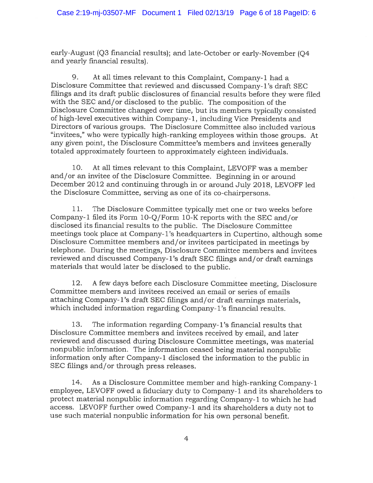early-August (Q3 financial results); and late-October or early-November (Q4 and yearly financial results).

9. At all times relevant to this Complaint, Company-i had <sup>a</sup> Disclosure Committee that reviewed and discussed Company-i's draft SEC filings and its draft public disclosures of financial results before they were filed with the SEC and/or disclosed to the public. The composition of the Disclosure Committee changed over time, but its members typically consisted of high-level executives within Company-i, including Vice Presidents and Directors of various groups. The Disclosure Committee also included various "invitees," who were typically high-ranking employees within those groups. At any <sup>g</sup>iven point, the Disclosure Committee's members and invitees generally totaled approximately fourteen to approximately eighteen individuals.

10. At all times relevant to this Complaint, LEVOFF was a member and/or an invitee of the Disclosure Committee. Beginning in or around December <sup>2012</sup> and continuing through in or around July 2018, LEVOFF led the Disclosure Committee, serving as one of its co-chairpersons.

1 1. The Disclosure Committee typically met one or two weeks before Company-i filed its Form iO-Q/Form iO-K reports with the SEC and/or disclosed its financial results to the public. The Disclosure Committee meetings took place at Company-1's headquarters in Cupertino, although some Disclosure Committee members and/or invitees participated in meetings by telephone. During the meetings, Disclosure Committee members and invitees reviewed and discussed Company-i's draft SEC filings and/or draft earnings materials that would later be disclosed to the public.

12. <sup>A</sup> few days before each Disclosure Committee meeting, Disclosure Committee members and invitees received an email or series of emails attaching Company-i's draft SEC filings and/or draft earnings materials, which included information regarding Company-1's financial results.

13. The information regarding Company-1's financial results that Disclosure Committee members and invitees received by email, and later reviewed and discussed during Disclosure Committee meetings, was material nonpublic information. The information ceased being material nonpublic information only after Company-i disclosed the information to the public in SEC filings and/or through press releases.

i4. As <sup>a</sup> Disclosure Committee member and high-ranking Company-i employee, LEVOFF owed <sup>a</sup> fiduciary duty to Company-i and its shareholders to protect material nonpublic information regarding Company-1 to which he had access. LEVOFF further owed Company-i and its shareholders <sup>a</sup> duty not to use such material nonpublic information for his own personal benefit.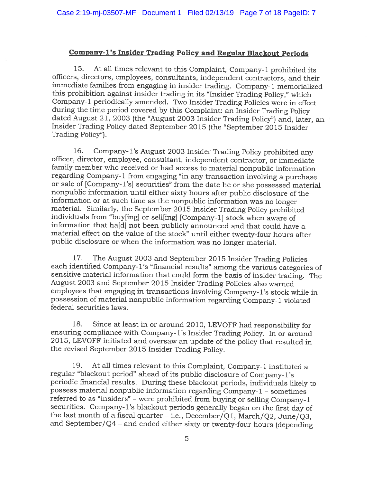# Company-i's Insider Trading Policy and Regular Blackout Periods

15. At all times relevant to this Complaint, Company-i prohibited its officers, directors, employees, consultants, independent contractors, and their immediate families from engaging in insider trading. Company-i memorialized this prohibition against insider trading in its "Insider Trading Policy," which Company-i periodically amended. Two Insider Trading Policies were in effect during the time period covered by this Complaint: an Insider Trading Policy dated August 21, <sup>2003</sup> (the "August <sup>2003</sup> Insider Trading Policy") and, later, an Insider Trading Policy dated September <sup>2015</sup> (the "September <sup>2015</sup> Insider Trading Policy").

16. Company-i's August <sup>2003</sup> Insider Trading Policy prohibited any officer, director, employee, consultant, independent contractor, or immediate family member who received or had access to material nonpublic information regarding Company-1 from engaging "in any transaction involving a purchase or sale of [Company- i's] securities" from the date he or she possessed material nonpublic information until either sixty hours after public disclosure of the information or at such time as the nonpublic information was no longer material. Similarly, the September <sup>2015</sup> Insider Trading Policy prohibited individuals from "buy[ing] or sell[ing] [Company-i] stock when aware of nformation that ha[d] not been publicly announced and that could have a material effect on the value of the stock" until either twenty-four hours after public disclosure or when the information was no longer material.

17. The August <sup>2003</sup> and September <sup>2015</sup> Insider Trading Policies each identified Company-1's "financial results" among the various categories of sensitive material information that could form the basis of insider trading. The August <sup>2003</sup> and September <sup>2015</sup> Insider Trading Policies also warned employees that engaging in transactions involving Company-i's stock while in possession of material nonpublic information regarding Company-i violated federal securities laws.

18. Since at least in or around 2010, LEVOFF had responsibility for ensuring compliance with Company- i's Insider Trading Policy. In or around 2015, LEVOFF initiated and oversaw an update of the policy that resulted in the revised September <sup>2015</sup> Insider Trading Policy.

19. At all times relevant to this Complaint, Company-i instituted a regular "blackout period" ahead of its public disclosure of Company- i's periodic financial results. During these blackout periods, individuals likely to possess material nonpublic information regarding Company-i — sometimes referred to as "insiders" — were prohibited from buying or selling Company-i securities. Company-1's blackout periods generally began on the first day of the last month of <sup>a</sup> fiscal quarter — i.e., December/Qi, March/Q2, June/Q3, and September/Q4 - and ended either sixty or twenty-four hours (depending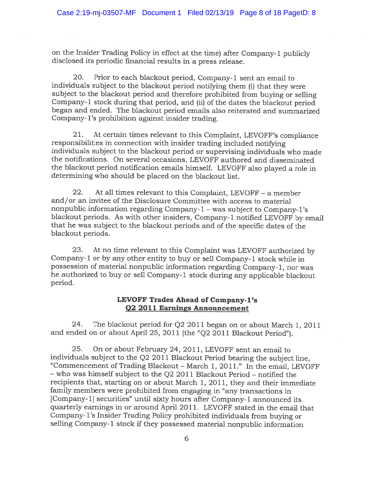on the Insider Trading Policy in effect at the time) after Company-i publicly disclosed its periodic financial results in <sup>a</sup> press release.

20. Prior to each blackout period, Company-i sent an email to individuals subject to the blackout period notifying them (i) that they were subject to the blackout period and therefore prohibited from buying or selling Company-i stock during that period, and (ii) of the dates the blackout period began and ended. The blackout period emails also reiterated and summarized Company- l's prohibition against insider trading.

21. At certain times relevant to this Complaint, LEVOFF's compliance responsibilities in connection with insider trading included notifying individuals subject to the blackout period or supervising individuals who made the notifications. On several occasions, LEVOFF authored and disseminated the blackout period notification emails himself. LEVOFF also <sup>p</sup>layed <sup>a</sup> role in determining who should be placed on the blackout list.

22. At all times relevant to this Complaint, LEVOFF — <sup>a</sup> member and/or an invitee of the Disclosure Committee with access to material nonpublic information regarding Company-i — was subject to Company-i's blackout periods. As with other insiders, Company-i notified LEVOFF by email that he was subject to the blackout periods and of the specific dates of the blackout periods.

23. At no time relevant to this Complaint was LEVOFF authorized by Company-i or by any other entity to buy or sell Company-i stock while in possession of material nonpublic information regarding Company-i, nor was he authorized to buy or sell Company-i stock during any applicable blackout period.

## LEVOFF Trades Ahead of Company-i's 02 2011 Earnings Announcement

24. The blackout period for Q2 2011 began on or about March i, 2011 and ended on or about April 25, 2011 (the "Q2 2011 Blackout Period").

25. On or about February 24, 2011, LEVOFF sent an email to individuals subject to the Q2 <sup>2011</sup> Blackout Period bearing the subject line, "Commencement of Trading Blackout - March 1, 2011." In the email, LEVOFF — who was himself subject to the Q2 2011 Blackout Period — notified the recipients that, starting on or about March 1, 2011, they and their immediate family members were prohibited from engaging in "any transactions in [Company-il securities" until sixty hours after Company-i announced its quarterly earnings in or around April 2011. LEVOFF stated in the email that Company- i's Insider Trading Policy prohibited individuals from buying or selling Company-1 stock if they possessed material nonpublic information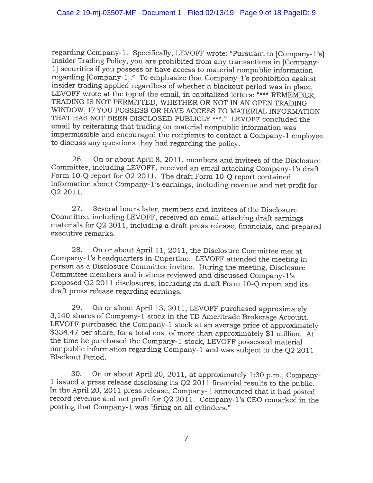regarding Company-i. Specifically, LEVOFF wrote: "Pursuant to [Company-i's] Insider Trading Policy, you are prohibited from any transactions in [Company-1] securities if you possess or have access to material nonpublic information regarding [Company- 1]." To emphasize that Company- l's prohibition against insider trading applied regardless of whether <sup>a</sup> blackout period was in <sup>p</sup>lace, LEVOFF wrote at the top of the email, in capitalized letters: "\*\*\* REMEMBER, TRADING IS NOT PERMITTED, WHETHER OR NOT IN AN OPEN TRADING WINDOW, IF YOU POSSESS OR HAVE ACCESS TO MATERIAL INFORMATION THAT HAS NOT BEEN DISCLOSED PUBLICLY \*\*\*." LEVOFF concluded the email by reiterating that trading on material nonpublic information was impermissible and encouraged the recipients to contact <sup>a</sup> Company-i employee to discuss any questions they had regarding the policy.

26. On or about April 8, 2011, members and invitees of the Disclosure Committee, including LEVOFF, received an email attaching Company-i's draft Form i0-Q report for Q2 2011. The draft Form 10-Q report contained information about Company- i's earnings, including revenue and net profit for Q2 2011.

27. Several hours later, members and invitees of the Disclosure Committee, including LEVOFF, received an email attaching draft earnings materials for Q2 2011, including <sup>a</sup> draft press release, financials, and prepared executive remarks.

28. On or about April 11, 2011, the Disclosure Committee met at Company-i's headquarters in Cupertino. LEVOFF attended the meeting in person as <sup>a</sup> Disclosure Committee invitee. During the meeting, Disclosure Committee members and invitees reviewed and discussed Company-i's proposed Q2 <sup>2011</sup> disclosures, including its draft Form iO-Q report and its draft press release regarding earnings.

29. On or about April 13, 2011, LEVOFF purchased approximately 3,140 shares of Company-i stock in the TD Ameritrade Brokerage Account. \$334.47 per share, for a total cost of more than approximately \$1 million. At the time he purchased the Company-i stock, LEVOFF possessed material nonpublic information regarding Company-i and was subject to the Q2 <sup>2011</sup> Blackout Period.

30. On or about April 20, 2011, at approximately 1:30 p.m., Company <sup>i</sup> issued <sup>a</sup> press release disclosing its Q2 <sup>2011</sup> financial results to the public. In the April 20, <sup>2011</sup> press release, Company-i announced that it had posted record revenue and net profit for Q2 2011. Company-i's CEO remarked in the posting that Company-1 was "firing on all cylinders."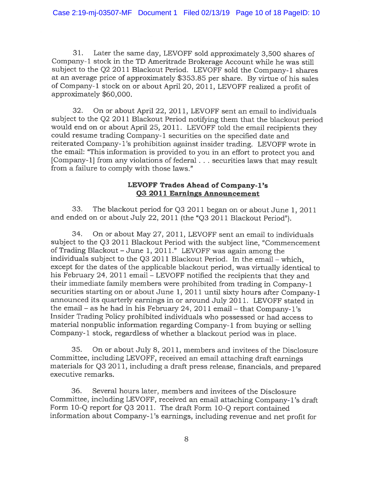31. Later the same day, LEVOFF sold approximately 3,500 shares of Company-1 stock in the TD Ameritrade Brokerage Account while he was still subject to the Q2 <sup>2011</sup> Blackout Period. LEVOFF sold the Company-i shares at an average price of approximately \$353.85 per share. By virtue of his sales of Company-i stock on or about April 20, 201i, LEVOFF realized <sup>a</sup> profit of approximately \$60,000.

32. On or about April 22, 2011, LEVOFF sent an email to individuals subject to the Q2 <sup>2011</sup> Blackout Period notifying them that the blackout period would end on or about April 25, 2011. LEVOFF told the email recipients they could resume trading Company-i securities on the specified date and reiterated Company-1's prohibition against insider trading. LEVOFF wrote in the email: "This information is provided to you in an effort to protect you and [Company-i] from any violations of federal. . . securities laws that may result from <sup>a</sup> failure to comply with those laws."

# LEVOFF Trades Ahead of Company-i's Q3 2011 Earnings Announcement

33. The blackout period for Q3 <sup>2011</sup> began on or about June 1, <sup>2011</sup> and ended on or about July 22, <sup>2011</sup> (the "Q3 <sup>2011</sup> Blackout Period").

34. On or about May 27, 2011, LEVOFF sent an email to individuals subject to the Q3 2011 Blackout Period with the subject line, "Commencement of Trading Blackout -June 1, 2011." LEVOFF was again among the individuals subject to the Q3 <sup>2011</sup> Blackout Period. In the email — which, except for the dates of the applicable blackout period, was virtually identical to his February 24, <sup>2011</sup> email — LEVOFF notified the recipients that they and their immediate family members were prohibited from trading in Company-i securities starting on or about June 1, <sup>2011</sup> until sixty hours after Company-i announced its quarterly earnings in or around July 2011. LEVOFF stated in the email — as he had in his February 24, <sup>2011</sup> email — that Company-i's Insider Trading Policy prohibited individuals who possessed or had access to material nonpublic information regarding Company-1 from buying or selling Company-i stock, regardless of whether <sup>a</sup> blackout period was in <sup>p</sup>lace.

35. On or about July 8, 2011, members and invitees of the Disclosure Committee, including LEVOFF, received an email attaching draft earnings materials for Q3 2011, including a draft press release, financials, and prepared executive remarks.

36. Several hours later, members and invitees of the Disclosure Committee, including LEVOFF, received an email attaching Company- l's draft Form 10-Q report for Q3 2011. The draft Form 10-Q report contained information about Company-i 's earnings, including revenue and net profit for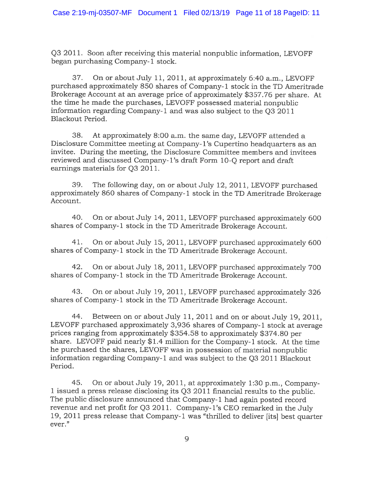Q3 2011. Soon after receiving this material nonpublic information, LEVOFF began purchasing Company-i stock.

37. On or about July 11, 2011, at approximately 6:40 a.m., LEVOFF purchased approximately 850 shares of Company-i stock in the TD Ameritrade Brokerage Account at an average price of approximately \$357.76 per share. At the time he made the purchases, LEVOFF possessed material nonpublic information regarding Company-i and was also subject to the Q3 2011 Blackout Period.

38. At approximately 8:00 a.m. the same day, LEVOFF attended <sup>a</sup> Disclosure Committee meeting at Company- l's Cupertino headquarters as an invitee. During the meeting, the Disclosure Committee members and invitees reviewed and discussed Company-1's draft Form 10-Q report and draft earnings materials for Q3 2011.

39. The following day, on or about July 12, 2011, LEVOFF purchased approximately <sup>860</sup> shares of Company-i stock in the TD Ameritrade Brokerage Account.

40. On or about July 14, 2011, LEVOFF purchased approximately <sup>600</sup> shares of Company-i stock in the TD Ameritrade Brokerage Account.

41. On or about July 15, 2011, LEVOFF purchased approximately <sup>600</sup> shares of Company-i stock in the TD Ameritrade Brokerage Account.

42. On or about July 18, 2011, LEVOFF purchased approximately <sup>700</sup> shares of Company-i stock in the TD Ameritrade Brokerage Account.

43. On or about July 19, 2011, LEVOFF purchased approximately <sup>326</sup> shares of Company- <sup>i</sup> stock in the TD Ameritrade Brokerage Account.

44. Between on or about July 11,2011 and on or about July 19, 2011, LEVOFF purchased approximately 3,936 shares of Company-1 stock at average prices ranging from approximately \$354.58 to approximately \$374.80 per share. LEVOFF paid nearly \$1.4 million for the Company-1 stock. At the time he purchased the shares, LEVOFF was in possession of material nonpublic information regarding Company-i and was subject to the Q3 2011 Blackout Period.

45. On or about July 19, 2011, at approximately 1:30 p.m., Company <sup>1</sup> issued <sup>a</sup> press release disclosing its Q3 2011 financial results to the public. The public disclosure announced that Company-i had again posted record revenue and net profit for Q3 2011. Company- i's CEO remarked in the July 19, <sup>2011</sup> press release that Company-i was "thrilled to deliver [its] best quarter ever."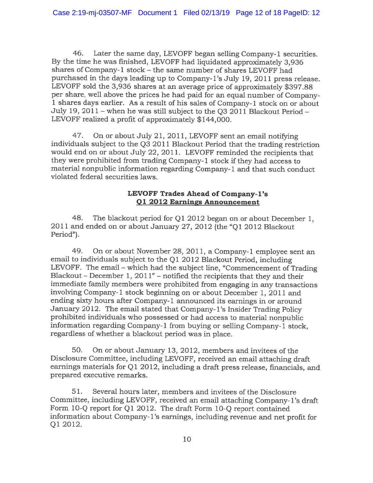46. Later the same day, LEVOFF began selling Company-i securities. By the time he was finished, LEVOFF had liquidated approximately 3,936 shares of Company-1 stock - the same number of shares LEVOFF had purchased in the days leading up to Company-i's July 19, <sup>2011</sup> press release. LEVOFF sold the 3,936 shares at an average price of approximately \$397.88 per share, well above the prices he had paid for an equa<sup>l</sup> number of Company <sup>1</sup> shares days earlier. As <sup>a</sup> result of his sales of Company-i stock on or about July 19, 2011 — when he was still subject to the Q3 2011 Blackout Period — LEVOFF realized <sup>a</sup> profit of approximately \$144,000.

47. On or about July 21, 2011, LEVOFF sent an email notifying individuals subject to the Q3 <sup>2011</sup> Blackout Period that the trading restriction would end on or about July 22, 2011. LEVOFF reminded the recipients that they were prohibited from trading Company-i stock if they had access to material nonpublic information regarding Company-i and that such conduct violated federal securities laws.

# LEVOFF Trades Ahead of Company-i's Qi 2012 Earnings Announcement

48. The blackout period for Qi 2012 began on or about December 1, 201i and ended on or about January 27, 2012 (the "Qi 2012 Blackout Period").

49. On or about November 28, 2011, <sup>a</sup> Company-i employee sent an email to individuals subject to the Qi <sup>2012</sup> Blackout Period, including LEVOFF. The email — which had the subject line, "Commencement of Trading Blackout – December 1,  $2011"$  – notified the recipients that they and their immediate family members were prohibited from engaging in any transactions involving Company-i stock beginning on or about December 1, 2011 and ending sixty hours after Company-1 announced its earnings in or around January 2012. The email stated that Company-i's Insider Trading Policy prohibited individuals who possesse<sup>d</sup> or had access to material nonpublic information regarding Company-1 from buying or selling Company-1 stock, regardless of whether <sup>a</sup> blackout period was in <sup>p</sup>lace.

50. On or about January 13, 2012, members and invitees of the Disclosure Committee, including LEVOFF, received an email attaching draft earnings materials for  $Q1$  2012, including a draft press release, financials, and prepared executive remarks.

51. Several hours later, members and invitees of the Disclosure Committee, including LEVOFF, received an email attaching Company- i's draft Form iO-Q repor<sup>t</sup> for Qi 2012. The draft Form 10-Q repor<sup>t</sup> contained information about Company-1's earnings, including revenue and net profit for Qi 2012.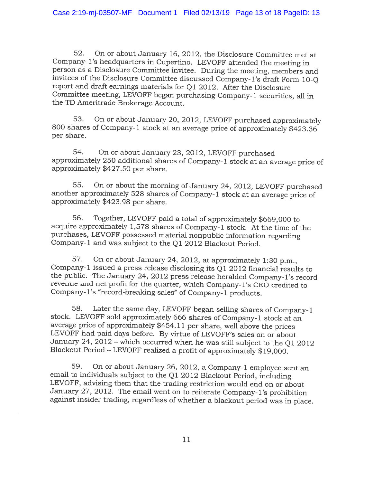52. On or about January 16, 2012, the Disclosure Committee met at Company- l's headquarters in Cupertino. LEVOFF attended the meeting in person as <sup>a</sup> Disclosure Committee invitee. During the meeting, members and invitees of the Disclosure Committee discussed Company-i's draft Form 10-Q report and draft earnings materials for Qi 2012. After the Disclosure Committee meeting, LEVOFF began purchasing Company-i securities, all in the TD Ameritrade Brokerage Account.

53. On or about January 20, 2012, LEVOFF purchased approximately 800 shares of Company-1 stock at an average price of approximately \$423.36 per share.

54. On or about January 23, 2012, LEVOFF purchased approximately <sup>250</sup> additional shares of Company-i stock at an average price of approximately \$427.50 per share.

55. On or about the morning of January 24, 2012, LEVOFF purchased another approximately <sup>528</sup> shares of Company-i stock at an average price of approximately \$423.98 per share.

56. Together, LEVOFF paid <sup>a</sup> total of approximately \$669,000 to acquire approximately 1,578 shares of Company-i stock. At the time of the purchases, LEVOFF possessed material nonpublic information regarding Company-i and was subject to the Qi 2012 Blackout Period.

57. On or about January 24, 2012, at approximately 1:30 p.m., Company-1 issued a press release disclosing its  $Q1$  2012 financial results to the public. The January 24, <sup>2012</sup> press release heralded Company-i's record revenue and net profit for the quarter, which Company-i's CEO credited to Company-i's "record-breaking sales" of Company-i products.

58. Later the same day, LEVOFF began selling shares of Company-i stock. LEVOFF sold approximately <sup>666</sup> shares of Company-i stock at an average price of approximately \$454.11 per share, well above the prices LEVOFF had paid days before. By virtue of LEVOFF's sales on or about January 24, <sup>2012</sup> — which occurred when he was still subject to the Qi <sup>2012</sup> Blackout Period — LEVOFF realized <sup>a</sup> profit of approximately \$19,000.

59. On or about January 26, 2012, <sup>a</sup> Company-i employee sent an email to individuals subject to the Qi <sup>2012</sup> Blackout Period, including LEVOFF, advising them that the trading restriction would end on or about January 27, 2012. The email went on to reiterate Company-i's prohibition against insider trading, regardless of whether <sup>a</sup> blackout period was in <sup>p</sup>lace.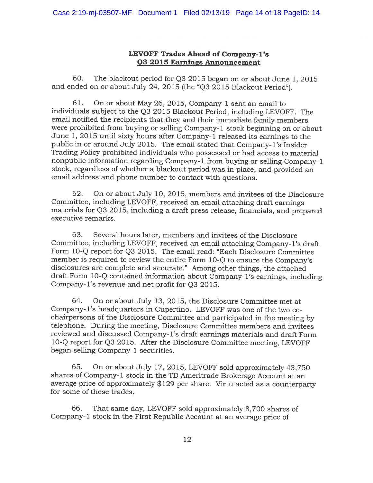# LEVOFF Trades Ahead of Company-i's Q3 2015 Earnings Announcement

60. The blackout period for Q3 2015 began on or about June 1, 2015 and ended on or about July 24, 2015 (the "Q3 2015 Blackout Period").

61. On or about May 26, 2015, Company-i sent an email to individuals subject to the Q3 <sup>2015</sup> Blackout Period, including LEVOFF. The email notified the recipients that they and their immediate family members were prohibited from buying or selling Company-1 stock beginning on or about June 1, <sup>2015</sup> until sixty hours after Company-i released its earnings to the public in or around July 2015. The email stated that Company-i's Insider Trading Policy prohibited individuals who possesse<sup>d</sup> or had access to material nonpublic information regarding Company-i from buying or selling Company-i stock, regardless of whether <sup>a</sup> blackout period was in <sup>p</sup>lace, and provided an email address and <sup>p</sup>hone number to contact with questions.

62. On or about July 10, 2015, members and invitees of the Disclosure Committee, including LEVOFF, received an email attaching draft earnings materials for Q3 2015, including <sup>a</sup> draft press release, financials, and prepare<sup>d</sup> executive remarks.

63. Several hours later, members and invitees of the Disclosure Committee, including LEVOFF, received an email attaching Company- i's draft Form i0-Q repor<sup>t</sup> for Q3 2015. The email read: "Each Disclosure Committee member is required to review the entire Form 10-Q to ensure the Company's disclosures are complete and accurate." Among other things, the attached draft Form 10-Q contained information about Company-1's earnings, including Company-i's revenue and net profit for Q3 2015.

64. On or about July 13, 2015, the Disclosure Committee met at Company- l's headquarters in Cupertino. LEVOFF was one of the two co chairpersons of the Disclosure Committee and participated in the meeting by telephone. During the meeting, Disclosure Committee members and invitees reviewed and discussed Company- i's draft earnings materials and draft Form iO-Q repor<sup>t</sup> for Q3 2015. After the Disclosure Committee meeting, LEVOFF began selling Company-1 securities.

65. On or about July 17, 2015, LEVOFF sold approximately 43,750 shares of Company-1 stock in the TD Ameritrade Brokerage Account at an average price of approximately \$129 per share. Virtu acted as <sup>a</sup> counterparty for some of these trades.

66 That same day, LEVOFF sold approximately 8,700 shares of Company-i stock in the First Republic Account at an average price of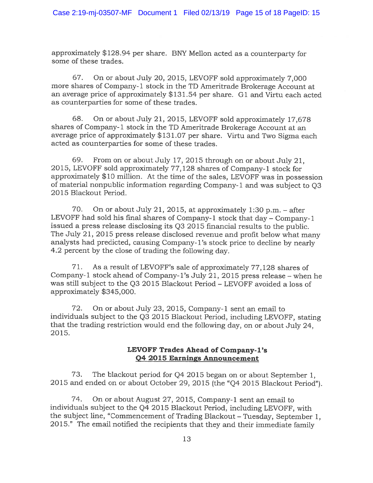approximately \$128.94 per share. BNY Mellon acted as <sup>a</sup> counterparty for some of these trades.

67. On or about July 20, 2015, LEVOFF sold approximately 7,000 more shares of Company-i stock in the TD Ameritrade Brokerage Account at an average price of approximately \$131.54 per share. G1 and Virtu each acted as counterparties for some of these trades.

68. On or about July 21, 2015, LEVOFF sold approximately 17,678 shares of Company-i stock in the TD Ameritrade Brokerage Account at an average price of approximately \$131.07 per share. Virtu and Two Sigma each acted as counterparties for some of these trades.

69. From on or about July 17, <sup>2015</sup> through on or about July 21, 2015, LEVOFF sold approximately 77,128 shares of Company-i stock for approximately \$10 million. At the time of the sales, LEVOFF was in possession of material nonpublic information regarding Company-i and was subject to Q3 2015 Blackout Period.

70. On or about July 21, 2015, at approximately 1:30 p.m. — after LEVOFF had sold his final shares of Company-1 stock that day – Company-1 issued <sup>a</sup> press release disclosing its Q3 <sup>2015</sup> financial results to the public. The July 21, <sup>2015</sup> press release disclosed revenue and profit below what many analysts had predicted, causing Company- l's stock price to decline by nearly 4.2 percen<sup>t</sup> by the close of trading the following day.

71. As <sup>a</sup> result of LEVOFF's sale of approximately 77,128 shares of Company-i stock ahead of Company-i's July 21, <sup>2015</sup> press release — when he was still subject to the Q3 2015 Blackout Period — LEVOFF avoided <sup>a</sup> loss of approximately \$345,000.

72. On or about July 23, 2015, Company-i sent an email to individuals subject to the Q3 <sup>2015</sup> Blackout Period, including LEVOFF, stating that the trading restriction would end the following day, on or about July 24, 2015.

# LEVOFF Trades Ahead of Company-i's Q4 2015 Earnings Announcement

73. The blackout period for Q4 <sup>2015</sup> began on or about September 1, <sup>2015</sup> and ended on or about October 29, <sup>2015</sup> (the "Q4 <sup>2015</sup> Blackout Period").

74. On or about August 27, 2015, Company-i sent an email to individuals subject to the Q4 2015 Blackout Period, including LEVOFF, with the subject line, "Commencement of Trading Blackout — Tuesday, September 1, 2015." The email notified the recipients that they and their immediate family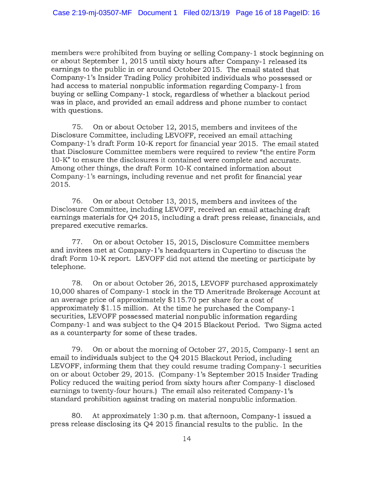members were prohibited from buying or selling Company-1 stock beginning on or about September 1, 2015 until sixty hours after Company-i released its earnings to the public in or around October 2015. The email stated that Company-i's Insider Trading Policy prohibited individuals who possessed or had access to material nonpublic information regarding Company-1 from buying or selling Company-i stock, regardless of whether <sup>a</sup> blackout period was in <sup>p</sup>lace, and provided an email address and <sup>p</sup>hone number to contact with questions.

75. On or about October 12, 2015, members and invitees of the Disclosure Committee, including LEVOFF, received an email attaching Company-i's draft Form 10-K repor<sup>t</sup> for financial year 2015. The email stated that Disclosure Committee members were required to review "the entire Form 10-K" to ensure the disclosures it contained were complete and accurate. Among other things, the draft Form 10-K contained information about Company- i's earnings, including revenue and net profit for financial year 2015.

76. On or about October 13, 2015, members and invitees of the Disclosure Committee, including LEVOFF, received an email attaching draft earnings materials for Q4 2015, including a draft press release, financials, and prepared executive remarks.

77. On or about October 15, 2015, Disclosure Committee members and invitees met at Company- i's headquarters in Cupertino to discuss the draft Form 10-K report. LEVOFF did not attend the meeting or participate by telephone.

78. On or about October 26, 2015, LEVOFF purchased approximately 10,000 shares of Company-1 stock in the TD Ameritrade Brokerage Account at an average price of approximately \$115.70 per share for <sup>a</sup> cost of approximately \$1.15 million. At the time he purchased the Company- <sup>i</sup> securities, LEVOFF possessed material nonpublic information regarding Company-i and was subject to the Q4 <sup>2015</sup> Blackout Period. Two Sigma acted as <sup>a</sup> counterparty for some of these trades.

79. On or about the morning of October 27, 2015, Company-i sent an email to individuals subject to the Q4 2015 Blackout Period, including LEVOFF, informing them that they could resume trading Company-1 securities on or about October 29, 2015. (Company-i's September <sup>2015</sup> Insider Trading Policy reduced the waiting period from sixty hours after Company-1 disclosed earnings to twenty-four hours.) The email also reiterated Company-1's standard prohibition against trading on material nonpublic information.

80. At approximately 1:30 p.m. that afternoon, Company-1 issued a press release disclosing its Q4 2015 financial results to the public. In the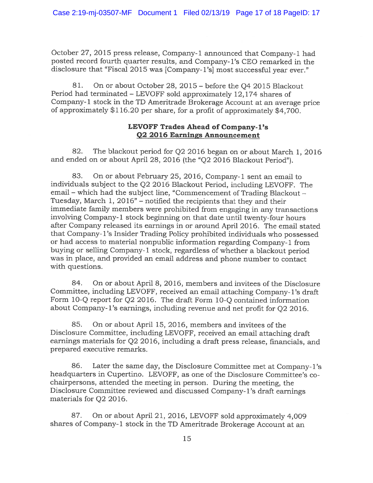October 27, <sup>2015</sup> press release, Company-i announced that Company-i had posted record fourth quarter results, and Company-i's CEO remarked in the disclosure that "Fiscal 2015 was [Company-1's] most successful year ever."

81. On or about October 28, 2015 — before the Q4 2015 Blackout Period had terminated — LEVOFF sold approximately 12,174 shares of Company-i stock in the TD Ameritrade Brokerage Account at an average price of approximately \$116.20 per share, for <sup>a</sup> profit of approximately \$4,700.

# LEVOFF Trades Ahead of Company-i's Q2 2016 Earnings Announcement

82. The blackout period for Q2 2016 began on or about March 1, 2016 and ended on or about April 28, 2016 (the "Q2 2016 Blackout Period").

83. On or about February 25, 2016, Company-1 sent an email to individuals subject to the Q2 <sup>2016</sup> Blackout Period, including LEVOFF. The email — which had the subject line, "Commencement of Trading Blackout — Tuesday, March 1, 2016" — notified the recipients that they and their immediate family members were prohibited from engaging in any transactions involving Company-i stock beginning on that date until twenty-four hours after Company released its earnings in or around April 2016. The email stated that Company- i's Insider Trading Policy prohibited individuals who possesse<sup>d</sup> or had access to material nonpublic information regarding Company-1 from buying or selling Company-i stock, regardless of whether <sup>a</sup> blackout period was in <sup>p</sup>lace, and provided an email address and <sup>p</sup>hone number to contact with questions.

84. On or about April 8, 2016, members and invitees of the Disclosure Committee, including LEVOFF, received an email attaching Company-i's draft Form 10-Q report for Q2 2016. The draft Form 10-O contained information about Company- l's earnings, including revenue and net profit for Q2 2016.

85. On or about April 15, 2016, members and invitees of the Disclosure Committee, including LEVOFF, received an email attaching draft earnings materials for Q2 2016, including <sup>a</sup> draft press release, financials, and prepared executive remarks.

86. Later the same day, the Disclosure Committee met at Company-i's headquarters in Cupertino. LEVOFF, as one of the Disclosure Committee's co chairpersons, attended the meeting in person. During the meeting, the Disclosure Committee reviewed and discussed Company-i's draft earnings materials for Q2 2016.

87. On or about April 21, 2016, LEVOFf sold approximately 4,009 shares of Company-i stock in the TD Ameritrade Brokerage Account at an